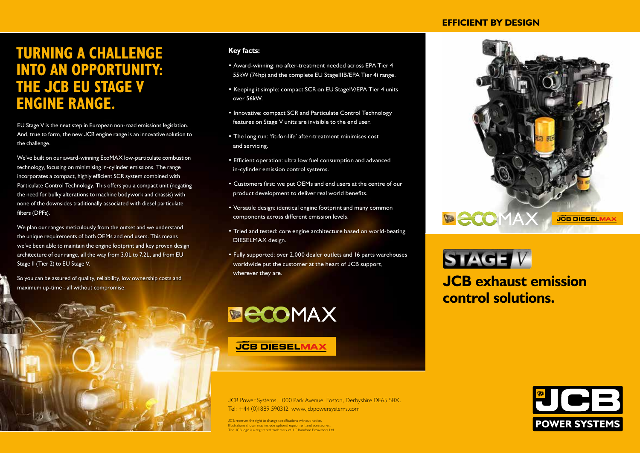## **EFFICIENT BY DESIGN**

## **TURNING A CHALLENGE INTO AN OPPORTUNITY: THE JCB EU STAGE V ENGINE RANGE.**

EU Stage V is the next step in European non-road emissions legislation. And, true to form, the new JCB engine range is an innovative solution to the challenge.

We've built on our award-winning EcoMAX low-particulate combustion technology, focusing on minimising in-cylinder emissions. The range incorporates a compact, highly efficient SCR system combined with Particulate Control Technology. This offers you a compact unit (negating the need for bulky alterations to machine bodywork and chassis) with none of the downsides traditionally associated with diesel particulate filters (DPFs).

We plan our ranges meticulously from the outset and we understand the unique requirements of both OEMs and end users. This means we've been able to maintain the engine footprint and key proven design architecture of our range, all the way from 3.0L to 7.2L, and from EU Stage II (Tier 2) to EU Stage V.

So you can be assured of quality, reliability, low ownership costs and So you can be assured of quality, reliability, low ownership costs and **the compromise.** Therefore all yield of the compromise.



## **Key facts:**

- Award-winning: no after-treatment needed across EPA Tier 4 55kW (74hp) and the complete EU StageIIIB/EPA Tier 4i range.
- Keeping it simple: compact SCR on EU StageIV/EPA Tier 4 units over 56kW.
- Innovative: compact SCR and Particulate Control Technology features on Stage V units are invisible to the end user.
- The long run: 'fit-for-life' after-treatment minimises cost and servicing.
- Efficient operation: ultra low fuel consumption and advanced in-cylinder emission control systems.
- Customers first: we put OEMs and end users at the centre of our product development to deliver real world benefits.
- Versatile design: identical engine footprint and many common components across different emission levels.
- Tried and tested: core engine architecture based on world-beating DIESELMAX design.
- Fully supported: over 2,000 dealer outlets and 16 parts warehouses worldwide put the customer at the heart of JCB support, wherever they are.



**JCB DIESELMAX** 

JCB Power Systems, 1000 Park Avenue, Foston, Derbyshire DE65 5BX. Tel: +44 (0)1889 590312 www.jcbpowersystems.com

JCB reserves the right to change specifications without notice. Illustrations shown may include optional equipment and accessories. The JCB logo is a registered trademark of J C Bamford Excavators Ltd.





**control solutions.**